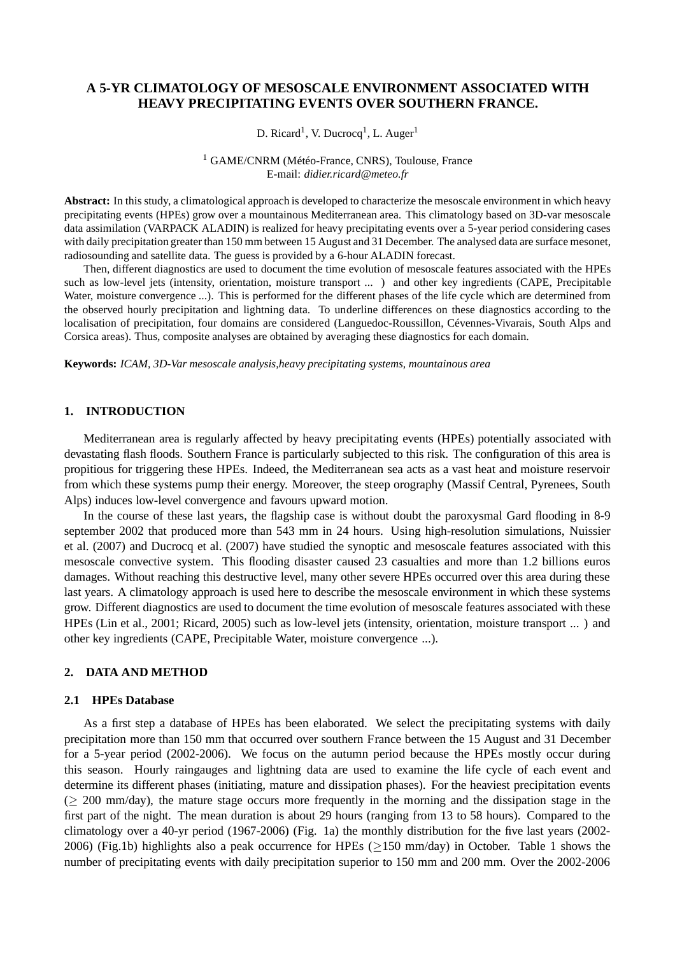# **A 5-YR CLIMATOLOGY OF MESOSCALE ENVIRONMENT ASSOCIATED WITH HEAVY PRECIPITATING EVENTS OVER SOUTHERN FRANCE.**

D. Ricard<sup>1</sup>, V. Ducrocq<sup>1</sup>, L. Auger<sup>1</sup>

<sup>1</sup> GAME/CNRM (Météo-France, CNRS), Toulouse, France E-mail: *didier.ricard@meteo.fr*

**Abstract:** In this study, a climatological approach is developed to characterize the mesoscale environment in which heavy precipitating events (HPEs) grow over a mountainous Mediterranean area. This climatology based on 3D-var mesoscale data assimilation (VARPACK ALADIN) is realized for heavy precipitating events over a 5-year period considering cases with daily precipitation greater than 150 mm between 15 August and 31 December. The analysed data are surface mesonet, radiosounding and satellite data. The guess is provided by a 6-hour ALADIN forecast.

Then, different diagnostics are used to document the time evolution of mesoscale features associated with the HPEs such as low-level jets (intensity, orientation, moisture transport ... ) and other key ingredients (CAPE, Precipitable Water, moisture convergence ...). This is performed for the different phases of the life cycle which are determined from the observed hourly precipitation and lightning data. To underline differences on these diagnostics according to the localisation of precipitation, four domains are considered (Languedoc-Roussillon, Cévennes-Vivarais, South Alps and Corsica areas). Thus, composite analyses are obtained by averaging these diagnostics for each domain.

**Keywords:** *ICAM, 3D-Var mesoscale analysis,heavy precipitating systems, mountainous area*

#### **1. INTRODUCTION**

Mediterranean area is regularly affected by heavy precipitating events (HPEs) potentially associated with devastating flash floods. Southern France is particularly subjected to this risk. The configuration of this area is propitious for triggering these HPEs. Indeed, the Mediterranean sea acts as a vast heat and moisture reservoir from which these systems pump their energy. Moreover, the steep orography (Massif Central, Pyrenees, South Alps) induces low-level convergence and favours upward motion.

In the course of these last years, the flagship case is without doubt the paroxysmal Gard flooding in 8-9 september 2002 that produced more than 543 mm in 24 hours. Using high-resolution simulations, Nuissier et al. (2007) and Ducrocq et al. (2007) have studied the synoptic and mesoscale features associated with this mesoscale convective system. This flooding disaster caused 23 casualties and more than 1.2 billions euros damages. Without reaching this destructive level, many other severe HPEs occurred over this area during these last years. A climatology approach is used here to describe the mesoscale environment in which these systems grow. Different diagnostics are used to document the time evolution of mesoscale features associated with these HPEs (Lin et al., 2001; Ricard, 2005) such as low-level jets (intensity, orientation, moisture transport ... ) and other key ingredients (CAPE, Precipitable Water, moisture convergence ...).

#### **2. DATA AND METHOD**

### **2.1 HPEs Database**

As a first step a database of HPEs has been elaborated. We select the precipitating systems with daily precipitation more than 150 mm that occurred over southern France between the 15 August and 31 December for a 5-year period (2002-2006). We focus on the autumn period because the HPEs mostly occur during this season. Hourly raingauges and lightning data are used to examine the life cycle of each event and determine its different phases (initiating, mature and dissipation phases). For the heaviest precipitation events (≥ 200 mm/day), the mature stage occurs more frequently in the morning and the dissipation stage in the first part of the night. The mean duration is about 29 hours (ranging from 13 to 58 hours). Compared to the climatology over a 40-yr period (1967-2006) (Fig. 1a) the monthly distribution for the five last years (2002- 2006) (Fig.1b) highlights also a peak occurrence for HPEs (≥150 mm/day) in October. Table 1 shows the number of precipitating events with daily precipitation superior to 150 mm and 200 mm. Over the 2002-2006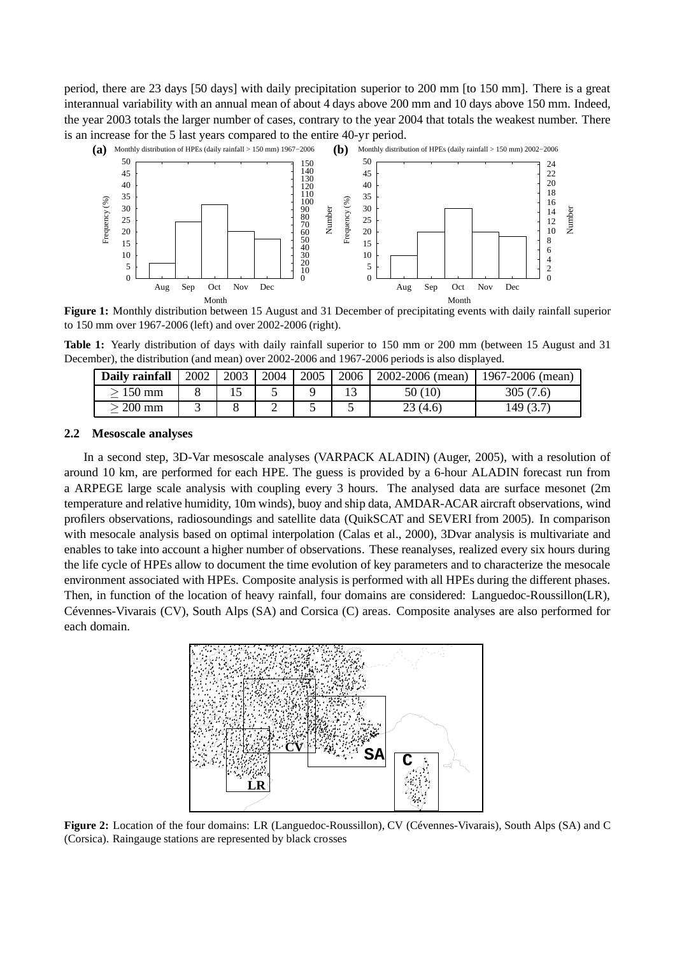period, there are 23 days [50 days] with daily precipitation superior to 200 mm [to 150 mm]. There is a great interannual variability with an annual mean of about 4 days above 200 mm and 10 days above 150 mm. Indeed, the year 2003 totals the larger number of cases, contrary to the year 2004 that totals the weakest number. There is an increase for the 5 last years compared to the entire 40-yr period.



**Figure 1:** Monthly distribution between 15 August and 31 December of precipitating events with daily rainfall superior to 150 mm over 1967-2006 (left) and over 2002-2006 (right).

**Table 1:** Yearly distribution of days with daily rainfall superior to 150 mm or 200 mm (between 15 August and 31 December), the distribution (and mean) over 2002-2006 and 1967-2006 periods is also displayed.

| Daily rainfall | 2002 | 2003 | 2004 | 2005 | 2006 | 2002-2006 (mean) | 1967-2006 (mean) |
|----------------|------|------|------|------|------|------------------|------------------|
| > 150 mm       |      |      |      |      |      | 50(10)           | 305(7.6)         |
| > 200 mm       |      |      |      |      |      | 23(4.6)          | 149 (3.7)        |

#### **2.2 Mesoscale analyses**

In a second step, 3D-Var mesoscale analyses (VARPACK ALADIN) (Auger, 2005), with a resolution of around 10 km, are performed for each HPE. The guess is provided by a 6-hour ALADIN forecast run from a ARPEGE large scale analysis with coupling every 3 hours. The analysed data are surface mesonet (2m temperature and relative humidity, 10m winds), buoy and ship data, AMDAR-ACAR aircraft observations, wind profilers observations, radiosoundings and satellite data (QuikSCAT and SEVERI from 2005). In comparison with mesocale analysis based on optimal interpolation (Calas et al., 2000), 3Dvar analysis is multivariate and enables to take into account a higher number of observations. These reanalyses, realized every six hours during the life cycle of HPEs allow to document the time evolution of key parameters and to characterize the mesocale environment associated with HPEs. Composite analysis is performed with all HPEs during the different phases. Then, in function of the location of heavy rainfall, four domains are considered: Languedoc-Roussillon(LR), Cévennes-Vivarais (CV), South Alps (SA) and Corsica (C) areas. Composite analyses are also performed for each domain.



**Figure 2:** Location of the four domains: LR (Languedoc-Roussillon), CV (Cévennes-Vivarais), South Alps (SA) and C (Corsica). Raingauge stations are represented by black crosses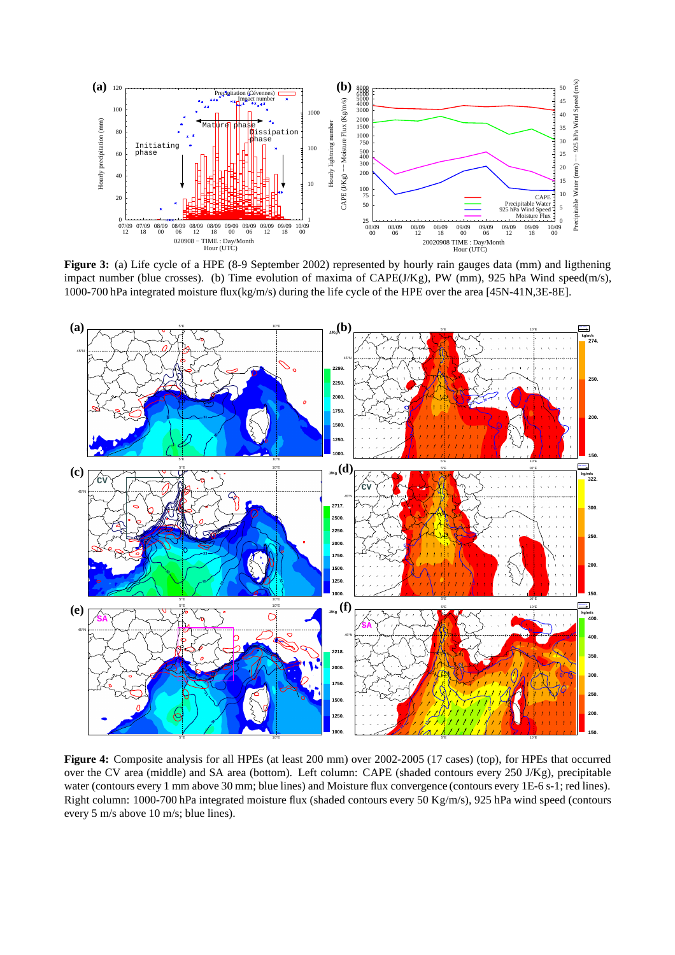

**Figure 3:** (a) Life cycle of a HPE (8-9 September 2002) represented by hourly rain gauges data (mm) and ligthening impact number (blue crosses). (b) Time evolution of maxima of CAPE(J/Kg), PW (mm), 925 hPa Wind speed(m/s), 1000-700 hPa integrated moisture flux(kg/m/s) during the life cycle of the HPE over the area [45N-41N,3E-8E].



**Figure 4:** Composite analysis for all HPEs (at least 200 mm) over 2002-2005 (17 cases) (top), for HPEs that occurred over the CV area (middle) and SA area (bottom). Left column: CAPE (shaded contours every 250 J/Kg), precipitable water (contours every 1 mm above 30 mm; blue lines) and Moisture flux convergence (contours every 1E-6 s-1; red lines). Right column: 1000-700 hPa integrated moisture flux (shaded contours every 50 Kg/m/s), 925 hPa wind speed (contours every 5 m/s above 10 m/s; blue lines).